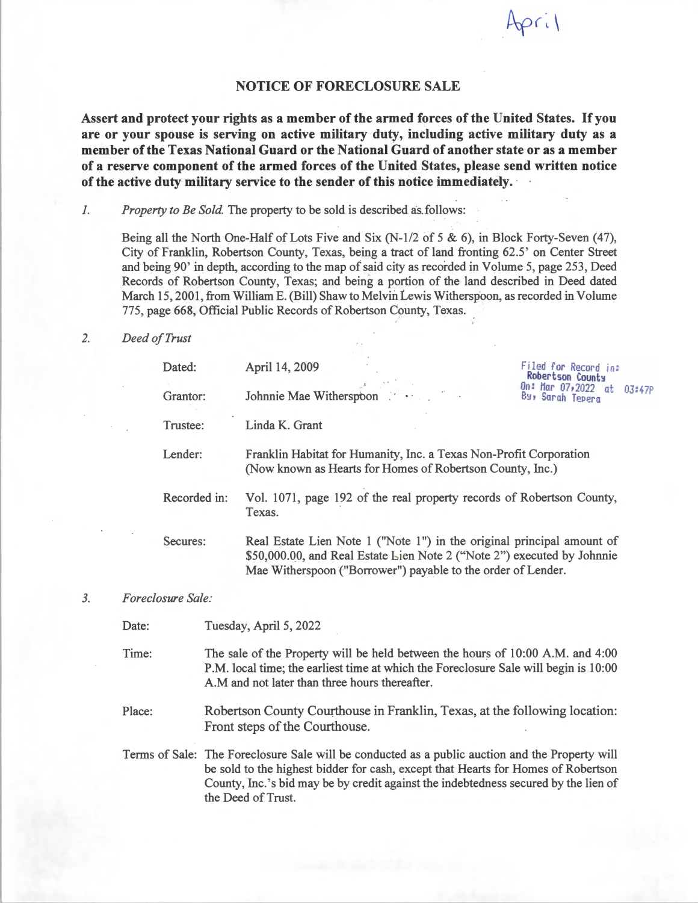## **NOTICE OF FORECLOSURE SALE**

 $pri$ 

**Assert and protect your rights as a member of the armed forces of the United States. If you are or your spouse is serving on active military duty, including active military duty as a member of the Texas National Guard or the National Guard of another state or as a member of a reserve component of the armed forces of the United States, please send written notice of the active duty military service to the sender of this notice immediately. ·** 

*1. Property to Be Sold.* The property to be sold is described as.follows:

Being all the North One-Half of Lots Five and Six (N-1/2 of 5 & 6), in Block Forty-Seven (47), City of Franklin, Robertson County, Texas, being a tract of land fronting 62.5' on Center Street and being 90' in depth, according to the map of said city as recorded in Volume 5, page 253, Deed Records of Robertson County, Texas; and being a portion of the land described in Deed dated March 15, 2001, from William E. (Bill) Shaw to Melvin Lewis Witherspoon, as recorded in Volume 775, page 668, Official Public Records of Robertson County, Texas . .

## *2. Deed of Trust*

| Dated:<br>Grantor: | April 14, 2009<br>Johnnie Mae Witherspoon                                                                                                                                                                         | Filed for Record in:<br>Robertson County<br>On: Mar 07,2022 at<br>03:47P<br>By, Sarah Tepera |
|--------------------|-------------------------------------------------------------------------------------------------------------------------------------------------------------------------------------------------------------------|----------------------------------------------------------------------------------------------|
| Trustee:           | Linda K. Grant                                                                                                                                                                                                    |                                                                                              |
| Lender:            | Franklin Habitat for Humanity, Inc. a Texas Non-Profit Corporation<br>(Now known as Hearts for Homes of Robertson County, Inc.)                                                                                   |                                                                                              |
| Recorded in:       | Vol. 1071, page 192 of the real property records of Robertson County,<br>Texas.                                                                                                                                   |                                                                                              |
| Secures:           | Real Estate Lien Note 1 ("Note 1") in the original principal amount of<br>\$50,000.00, and Real Estate Lien Note 2 ("Note 2") executed by Johnnie<br>Mae Witherspoon ("Borrower") payable to the order of Lender. |                                                                                              |

## *3. Foreclosure Sale:*

Date: Tuesday, April 5, 2022

Time: The sale of the Property will be held between the hours of 10:00 A.M. and 4:00 P.M. local time; the earliest time at which the Foreclosure Sale will begin is 10:00 A.M and not later than three hours thereafter.

Place: Robertson County Courthouse in Franklin, Texas, at the following location: Front steps of the Courthouse.

Terms of Sale: The Foreclosure Sale will be conducted as a public auction and the Property will be sold to the highest bidder for cash, except that Hearts for Homes of Robertson County, Inc.'s bid may be by credit against the indebtedness secured by the lien of the Deed of Trust.